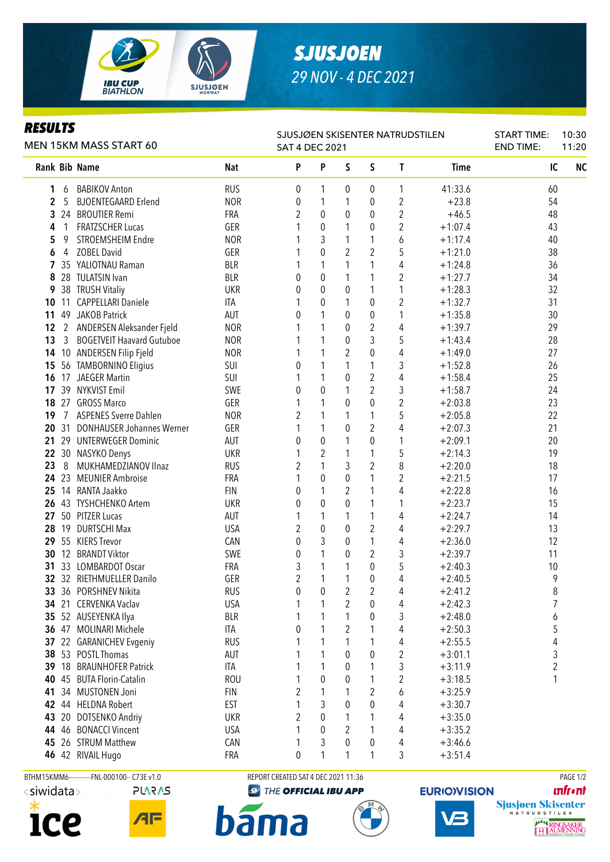

# *SJUSJOEN 29 NOV - 4 DEC 2021*

### *RESULTS*

L,

|    | MEN 15KM MASS START 60 | SJUSJØEN SKISENTER NATRUDSTILEN<br><b>SAT 4 DEC 2021</b> |            | <b>START TIME:</b><br><b>END TIME:</b> | 10:30<br>11:20   |                |                |                  |             |    |                |
|----|------------------------|----------------------------------------------------------|------------|----------------------------------------|------------------|----------------|----------------|------------------|-------------|----|----------------|
|    |                        | Rank Bib Name                                            | <b>Nat</b> | P                                      | P                | S              | $\mathsf{S}$   | $\mathsf{T}$     | <b>Time</b> | IC | N <sub>C</sub> |
| 1  | 6                      | <b>BABIKOV Anton</b>                                     | <b>RUS</b> | 0                                      | 1                | 0              | $\mathbf{0}$   | 1                | 41:33.6     | 60 |                |
| 2  | 5                      | <b>BJOENTEGAARD Erlend</b>                               | <b>NOR</b> | 0                                      | 1                | 1              | $\mathbf 0$    | $\overline{2}$   | $+23.8$     | 54 |                |
| 3  | 24                     | <b>BROUTIER Remi</b>                                     | FRA        | 2                                      | 0                | $\theta$       | $\mathbf 0$    | $\overline{2}$   | $+46.5$     | 48 |                |
| 4  | 1                      | <b>FRATZSCHER Lucas</b>                                  | GER        |                                        | 0                | 1              | $\mathbf 0$    | $\overline{2}$   | $+1:07.4$   | 43 |                |
| 5  | 9                      | STROEMSHEIM Endre                                        | <b>NOR</b> |                                        | 3                | 1              | 1              | 6                | $+1:17.4$   | 40 |                |
| 6  | 4                      | <b>ZOBEL David</b>                                       | GER        |                                        | $\mathbf 0$      | $\overline{2}$ | 2              | 5                | $+1:21.0$   | 38 |                |
| 7  |                        | 35 YALIOTNAU Raman                                       | <b>BLR</b> |                                        | 1                | 1              | 1              | 4                | $+1:24.8$   | 36 |                |
| 8  |                        | 28 TULATSIN Ivan                                         | <b>BLR</b> | 0                                      | $\boldsymbol{0}$ | 1              | 1              | $\overline{2}$   | $+1:27.7$   | 34 |                |
| 9  |                        | 38 TRUSH Vitaliy                                         | <b>UKR</b> | 0                                      | $\mathbf 0$      | 0              | 1              | 1                | $+1:28.3$   | 32 |                |
|    | $10 \t11$              | <b>CAPPELLARI Daniele</b>                                | ITA        |                                        | 0                | 1              | 0              | $\overline{2}$   | $+1:32.7$   | 31 |                |
| 11 |                        | 49 JAKOB Patrick                                         | AUT        | 0                                      | 1                | 0              | 0              | 1                | $+1:35.8$   | 30 |                |
| 12 |                        | 2 ANDERSEN Aleksander Fjeld                              | <b>NOR</b> |                                        | 1                | 0              | 2              | 4                | $+1:39.7$   | 29 |                |
| 13 | 3                      | <b>BOGETVEIT Haavard Gutuboe</b>                         | <b>NOR</b> |                                        | 1                | 0              | 3              | 5                | $+1:43.4$   | 28 |                |
| 14 |                        | 10 ANDERSEN Filip Fjeld                                  | <b>NOR</b> |                                        | 1                | 2              | 0              | 4                | $+1:49.0$   | 27 |                |
| 15 |                        | 56 TAMBORNINO Eligius                                    | SUI        | 0                                      | 1                | 1              | 1              | 3                | $+1:52.8$   | 26 |                |
| 16 |                        | 17 JAEGER Martin                                         | SUI        |                                        | 1                | $\theta$       | $\overline{2}$ | 4                | $+1:58.4$   | 25 |                |
| 17 |                        | 39 NYKVIST Emil                                          | SWE        | 0                                      | $\overline{0}$   | 1              | $\overline{2}$ | 3                | $+1:58.7$   | 24 |                |
|    |                        | 18 27 GROSS Marco                                        | GER        | 1                                      | 1                | 0              | 0              | $\overline{2}$   | $+2:03.8$   | 23 |                |
| 19 | $\overline{7}$         | <b>ASPENES Sverre Dahlen</b>                             | <b>NOR</b> | 2                                      | 1                | 1              | 1              | 5                | $+2:05.8$   | 22 |                |
|    | 20 31                  | <b>DONHAUSER Johannes Werner</b>                         | GER        |                                        | 1                | 0              | $\overline{2}$ | 4                | $+2:07.3$   | 21 |                |
| 21 |                        | 29 UNTERWEGER Dominic                                    | AUT        | 0                                      | 0                | 1              | 0              | 1                | $+2:09.1$   | 20 |                |
|    |                        | 22 30 NASYKO Denys                                       | <b>UKR</b> |                                        | $\overline{2}$   | 1              | 1              | 5                | $+2:14.3$   | 19 |                |
| 23 | 8                      | MUKHAMEDZIANOV Ilnaz                                     | <b>RUS</b> | 2                                      | 1                | 3              | 2              | 8                | $+2:20.0$   | 18 |                |
|    |                        | 24 23 MEUNIER Ambroise                                   | FRA        |                                        | 0                | 0              | 1              | $\overline{2}$   | $+2:21.5$   | 17 |                |
|    |                        | 25 14 RANTA Jaakko                                       | <b>FIN</b> | 0                                      | 1                | 2              | 1              | 4                | $+2:22.8$   | 16 |                |
|    |                        | 26 43 TYSHCHENKO Artem                                   | <b>UKR</b> | 0                                      | 0                | $\theta$       | 1              | 1                | $+2:23.7$   | 15 |                |
| 27 |                        | 50 PITZER Lucas                                          | AUT        | 1                                      | 1                | 1              | 1              | 4                | $+2:24.7$   | 14 |                |
|    |                        | 28 19 DURTSCHI Max                                       | <b>USA</b> | 2                                      | $\mathbf 0$      | $\theta$       | 2              | 4                | $+2:29.7$   | 13 |                |
|    |                        | 29 55 KIERS Trevor                                       | CAN        | 0                                      | 3                | 0              | 1              | 4                | $+2:36.0$   | 12 |                |
| 30 |                        | 12 BRANDT Viktor                                         | SWE        | 0                                      | 1                | 0              | $\overline{2}$ | 3                | $+2:39.7$   | 11 |                |
| 31 |                        | 33 LOMBARDOT Oscar                                       | FRA        | 3                                      | 1                | 1              | 0              | 5                | $+2:40.3$   | 10 |                |
|    |                        | 32 32 RIETHMUELLER Danilo                                | GER        | 2                                      | 1                | 1              | $\pmb{0}$      | 4                | $+2:40.5$   | 9  |                |
|    |                        | 33 36 PORSHNEV Nikita                                    | <b>RUS</b> | 0                                      | $\pmb{0}$        | $\overline{2}$ | $\overline{c}$ | 4                | $+2:41.2$   | 8  |                |
|    |                        | 34 21 CERVENKA Vaclav                                    | <b>USA</b> |                                        | 1                | 2              | 0              | 4                | $+2:42.3$   | 7  |                |
|    |                        | 35 52 AUSEYENKA Ilya                                     | <b>BLR</b> |                                        | 1                | 1              | 0              | 3                | $+2:48.0$   | 6  |                |
|    |                        | 36 47 MOLINARI Michele                                   | ITA        | 0                                      | 1                | 2              | 1              | 4                | $+2:50.3$   | 5  |                |
| 37 | 22                     | <b>GARANICHEV Evgeniy</b>                                | <b>RUS</b> |                                        | 1                | 1              | 1              | 4                | $+2:55.5$   | 4  |                |
|    |                        | 38 53 POSTL Thomas                                       | AUT        |                                        | 1                | $\theta$       | 0              | $\boldsymbol{2}$ | $+3:01.1$   | 3  |                |
|    |                        | 39 18 BRAUNHOFER Patrick                                 | ITA        |                                        | 1                | $\theta$       | 1              | 3                | $+3:11.9$   | 2  |                |
| 40 |                        | 45 BUTA Florin-Catalin                                   | <b>ROU</b> |                                        | 0                | $\theta$       | 1              | $\overline{c}$   | $+3:18.5$   | 1  |                |
| 41 |                        | 34 MUSTONEN Joni                                         | <b>FIN</b> | 2                                      | 1                |                | 2              | 6                | $+3:25.9$   |    |                |
|    |                        | 42 44 HELDNA Robert                                      | <b>EST</b> |                                        | 3                | $\theta$       | 0              | 4                | $+3:30.7$   |    |                |
| 43 |                        | 20 DOTSENKO Andriy                                       | <b>UKR</b> | 2                                      | 0                |                | 1              | 4                | $+3:35.0$   |    |                |
|    |                        | 44 46 BONACCI Vincent                                    | <b>USA</b> |                                        | 0                | 2              | 1              | 4                | $+3:35.2$   |    |                |
|    |                        | 45 26 STRUM Matthew                                      | CAN        | 1                                      | 3                | 0              | 0              | 4                | $+3:46.6$   |    |                |
|    |                        | 46 42 RIVAIL Hugo                                        | FRA        | 0                                      |                  |                | 1              | 3                | $+3:51.4$   |    |                |



```
PLARAS
```
 $\sqrt{4}$ 

BTHM15KMM6-----------FNL-000100-- C73E v1.0 REPORT CREATED SAT 4 DEC 2021 11:36 REPORT CREATED SAT 4 DEC 2021 11:36

ma

bā

**@** THE OFFICIAL IBU APP







**unfront**